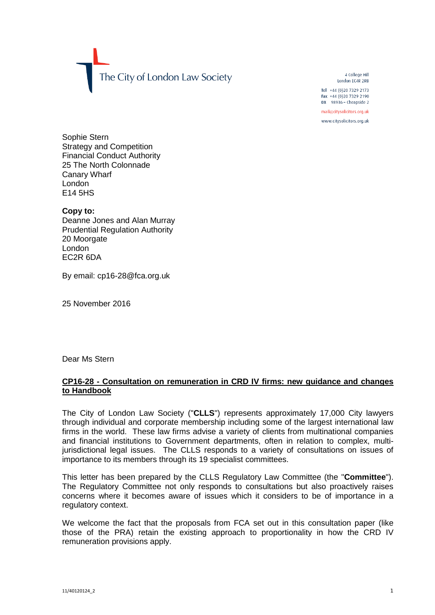The City of London Law Society

4 College Hill London FC4R 2RB

Tel +44 (0)20 7329 2173 Fax +44 (0)20 7329 2190 DX  $98936$  - Cheapside 2

mail@citysolicitors.org.uk

www.citysolicitors.org.uk

Sophie Stern Strategy and Competition Financial Conduct Authority 25 The North Colonnade Canary Wharf London E14 5HS

**Copy to:** Deanne Jones and Alan Murray Prudential Regulation Authority 20 Moorgate London EC2R 6DA

By email: cp16-28@fca.org.uk

25 November 2016

Dear Ms Stern

## **CP16-28 - Consultation on remuneration in CRD IV firms: new guidance and changes to Handbook**

The City of London Law Society ("**CLLS**") represents approximately 17,000 City lawyers through individual and corporate membership including some of the largest international law firms in the world. These law firms advise a variety of clients from multinational companies and financial institutions to Government departments, often in relation to complex, multijurisdictional legal issues. The CLLS responds to a variety of consultations on issues of importance to its members through its 19 specialist committees.

This letter has been prepared by the CLLS Regulatory Law Committee (the "**Committee**"). The Regulatory Committee not only responds to consultations but also proactively raises concerns where it becomes aware of issues which it considers to be of importance in a regulatory context.

We welcome the fact that the proposals from FCA set out in this consultation paper (like those of the PRA) retain the existing approach to proportionality in how the CRD IV remuneration provisions apply.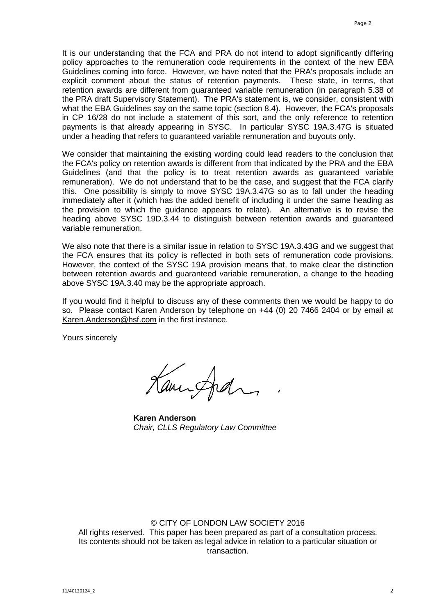It is our understanding that the FCA and PRA do not intend to adopt significantly differing policy approaches to the remuneration code requirements in the context of the new EBA Guidelines coming into force. However, we have noted that the PRA's proposals include an explicit comment about the status of retention payments. These state, in terms, that retention awards are different from guaranteed variable remuneration (in paragraph 5.38 of the PRA draft Supervisory Statement). The PRA's statement is, we consider, consistent with what the EBA Guidelines say on the same topic (section 8.4). However, the FCA's proposals in CP 16/28 do not include a statement of this sort, and the only reference to retention payments is that already appearing in SYSC. In particular SYSC 19A.3.47G is situated under a heading that refers to guaranteed variable remuneration and buyouts only.

We consider that maintaining the existing wording could lead readers to the conclusion that the FCA's policy on retention awards is different from that indicated by the PRA and the EBA Guidelines (and that the policy is to treat retention awards as guaranteed variable remuneration). We do not understand that to be the case, and suggest that the FCA clarify this. One possibility is simply to move SYSC 19A.3.47G so as to fall under the heading immediately after it (which has the added benefit of including it under the same heading as the provision to which the guidance appears to relate). An alternative is to revise the heading above SYSC 19D.3.44 to distinguish between retention awards and guaranteed variable remuneration.

We also note that there is a similar issue in relation to SYSC 19A.3.43G and we suggest that the FCA ensures that its policy is reflected in both sets of remuneration code provisions. However, the context of the SYSC 19A provision means that, to make clear the distinction between retention awards and guaranteed variable remuneration, a change to the heading above SYSC 19A.3.40 may be the appropriate approach.

If you would find it helpful to discuss any of these comments then we would be happy to do so. Please contact Karen Anderson by telephone on +44 (0) 20 7466 2404 or by email at [Karen.Anderson@hsf.com](mailto:Karen.Anderson@hsf.com) in the first instance.

Yours sincerely

Kaminghan

**Karen Anderson** *Chair, CLLS Regulatory Law Committee*

## © CITY OF LONDON LAW SOCIETY 2016

All rights reserved. This paper has been prepared as part of a consultation process. Its contents should not be taken as legal advice in relation to a particular situation or transaction.